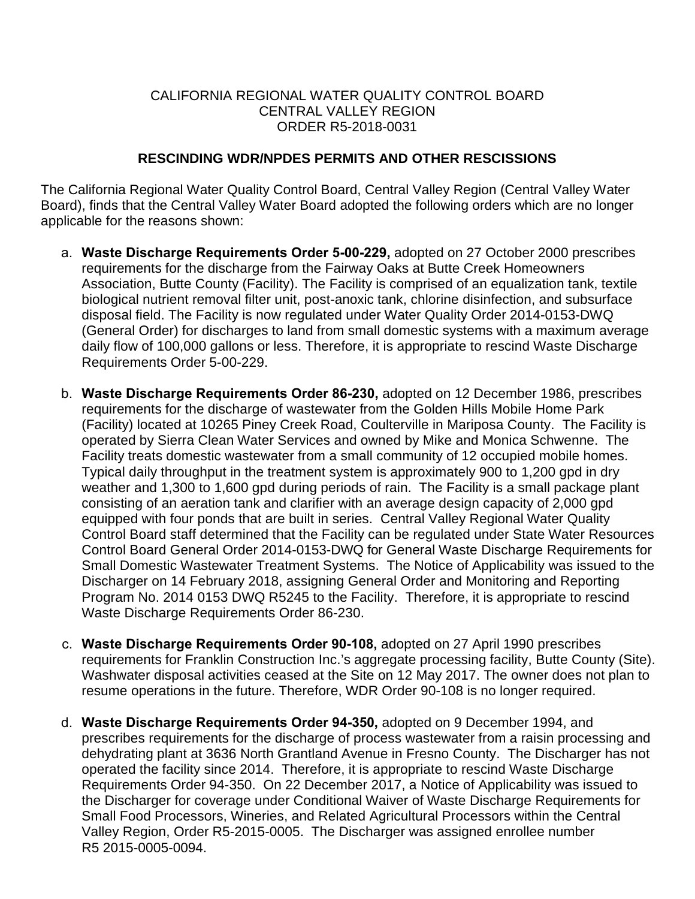## CALIFORNIA REGIONAL WATER QUALITY CONTROL BOARD CENTRAL VALLEY REGION ORDER R5-2018-0031

## **RESCINDING WDR/NPDES PERMITS AND OTHER RESCISSIONS**

 applicable for the reasons shown: The California Regional Water Quality Control Board, Central Valley Region (Central Valley Water Board), finds that the Central Valley Water Board adopted the following orders which are no longer

- a. **Waste Discharge Requirements Order 5-00-229,** adopted on 27 October 2000 prescribes requirements for the discharge from the Fairway Oaks at Butte Creek Homeowners Association, Butte County (Facility). The Facility is comprised of an equalization tank, textile biological nutrient removal filter unit, post-anoxic tank, chlorine disinfection, and subsurface disposal field. The Facility is now regulated under Water Quality Order 2014-0153-DWQ (General Order) for discharges to land from small domestic systems with a maximum average daily flow of 100,000 gallons or less. Therefore, it is appropriate to rescind Waste Discharge Requirements Order 5-00-229.
- Facility treats domestic wastewater from a small community of 12 occupied mobile homes. weather and 1,300 to 1,600 gpd during periods of rain. The Facility is a small package plant Small Domestic Wastewater Treatment Systems. The Notice of Applicability was issued to the b. **Waste Discharge Requirements Order 86-230,** adopted on 12 December 1986, prescribes requirements for the discharge of wastewater from the Golden Hills Mobile Home Park (Facility) located at 10265 Piney Creek Road, Coulterville in Mariposa County. The Facility is operated by Sierra Clean Water Services and owned by Mike and Monica Schwenne. The Typical daily throughput in the treatment system is approximately 900 to 1,200 gpd in dry consisting of an aeration tank and clarifier with an average design capacity of 2,000 gpd equipped with four ponds that are built in series. Central Valley Regional Water Quality Control Board staff determined that the Facility can be regulated under State Water Resources Control Board General Order 2014-0153-DWQ for General Waste Discharge Requirements for Discharger on 14 February 2018, assigning General Order and Monitoring and Reporting Program No. 2014 0153 DWQ R5245 to the Facility. Therefore, it is appropriate to rescind Waste Discharge Requirements Order 86-230.
- c. **Waste Discharge Requirements Order 90-108,** adopted on 27 April 1990 prescribes requirements for Franklin Construction Inc.'s aggregate processing facility, Butte County (Site). Washwater disposal activities ceased at the Site on 12 May 2017. The owner does not plan to resume operations in the future. Therefore, WDR Order 90-108 is no longer required.
- dehydrating plant at 3636 North Grantland Avenue in Fresno County. The Discharger has not operated the facility since 2014. Therefore, it is appropriate to rescind Waste Discharge Valley Region, Order R5-2015-0005. The Discharger was assigned enrollee number d. **Waste Discharge Requirements Order 94-350,** adopted on 9 December 1994, and prescribes requirements for the discharge of process wastewater from a raisin processing and Requirements Order 94-350. On 22 December 2017, a Notice of Applicability was issued to the Discharger for coverage under Conditional Waiver of Waste Discharge Requirements for Small Food Processors, Wineries, and Related Agricultural Processors within the Central R5 2015-0005-0094.